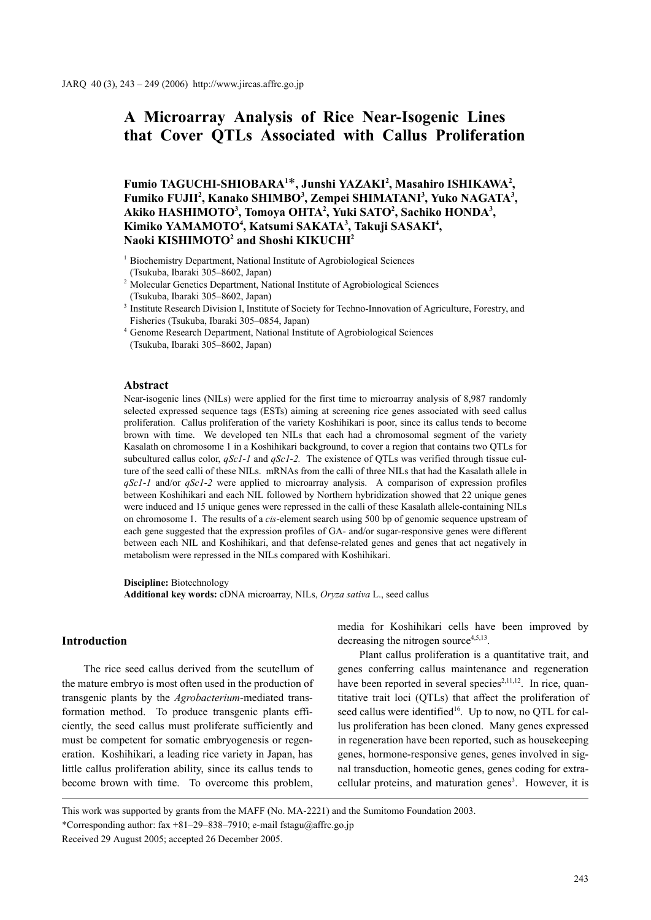# **A Microarray Analysis of Rice Near-Isogenic Lines that Cover QTLs Associated with Callus Proliferation**

Fumio TAGUCHI-SHIOBARA<sup>1\*</sup>, Junshi YAZAKI<sup>2</sup>, Masahiro ISHIKAWA<sup>2</sup>, Fumiko FUJII<sup>2</sup>, Kanako SHIMBO<sup>3</sup>, Zempei SHIMATANI<sup>3</sup>, Yuko NAGATA<sup>3</sup>, Akiko HASHIMOTO<sup>3</sup>, Tomoya OHTA<sup>2</sup>, Yuki SATO<sup>2</sup>, Sachiko HONDA<sup>3</sup>, **Kimiko YAMAMOTO4 , Katsumi SAKATA3 , Takuji SASAKI4 , Naoki KISHIMOTO2 and Shoshi KIKUCHI2**

<sup>1</sup> Biochemistry Department, National Institute of Agrobiological Sciences (Tsukuba, Ibaraki 305–8602, Japan)

<sup>2</sup> Molecular Genetics Department, National Institute of Agrobiological Sciences

(Tsukuba, Ibaraki 305–8602, Japan)

<sup>3</sup> Institute Research Division I, Institute of Society for Techno-Innovation of Agriculture, Forestry, and Fisheries (Tsukuba, Ibaraki 305–0854, Japan)

<sup>4</sup> Genome Research Department, National Institute of Agrobiological Sciences (Tsukuba, Ibaraki 305–8602, Japan)

## **Abstract**

Near-isogenic lines (NILs) were applied for the first time to microarray analysis of 8,987 randomly selected expressed sequence tags (ESTs) aiming at screening rice genes associated with seed callus proliferation. Callus proliferation of the variety Koshihikari is poor, since its callus tends to become brown with time. We developed ten NILs that each had a chromosomal segment of the variety Kasalath on chromosome 1 in a Koshihikari background, to cover a region that contains two QTLs for subcultured callus color, *qSc1-1* and *qSc1-2.* The existence of QTLs was verified through tissue culture of the seed calli of these NILs. mRNAs from the calli of three NILs that had the Kasalath allele in *qSc1-1* and/or *qSc1-2* were applied to microarray analysis. A comparison of expression profiles between Koshihikari and each NIL followed by Northern hybridization showed that 22 unique genes were induced and 15 unique genes were repressed in the calli of these Kasalath allele-containing NILs on chromosome 1. The results of a *cis*-element search using 500 bp of genomic sequence upstream of each gene suggested that the expression profiles of GA- and/or sugar-responsive genes were different between each NIL and Koshihikari, and that defense-related genes and genes that act negatively in metabolism were repressed in the NILs compared with Koshihikari.

**Discipline:** Biotechnology

**Additional key words:** cDNA microarray, NILs, *Oryza sativa* L., seed callus

# **Introduction**

The rice seed callus derived from the scutellum of the mature embryo is most often used in the production of transgenic plants by the *Agrobacterium*-mediated transformation method. To produce transgenic plants efficiently, the seed callus must proliferate sufficiently and must be competent for somatic embryogenesis or regeneration. Koshihikari, a leading rice variety in Japan, has little callus proliferation ability, since its callus tends to become brown with time. To overcome this problem,

media for Koshihikari cells have been improved by decreasing the nitrogen source $4,5,13$ .

Plant callus proliferation is a quantitative trait, and genes conferring callus maintenance and regeneration have been reported in several species<sup>2,11,12</sup>. In rice, quantitative trait loci (QTLs) that affect the proliferation of seed callus were identified<sup>16</sup>. Up to now, no QTL for callus proliferation has been cloned. Many genes expressed in regeneration have been reported, such as housekeeping genes, hormone-responsive genes, genes involved in signal transduction, homeotic genes, genes coding for extracellular proteins, and maturation genes<sup>3</sup>. However, it is

This work was supported by grants from the MAFF (No. MA-2221) and the Sumitomo Foundation 2003. \*Corresponding author: fax +81–29–838–7910; e-mail fstagu@affrc.go.jp Received 29 August 2005; accepted 26 December 2005.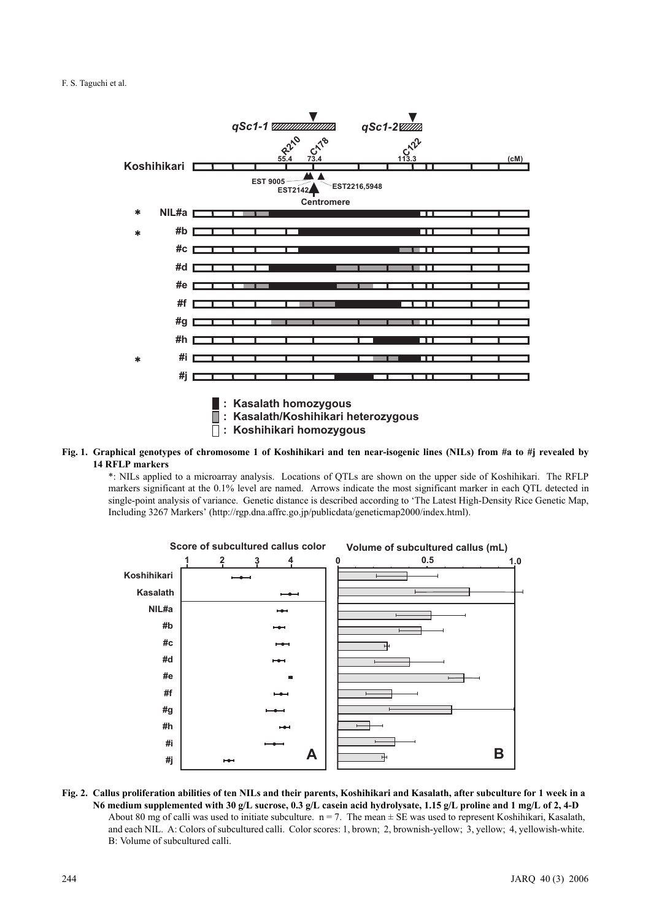

**Fig. 1. Graphical genotypes of chromosome 1 of Koshihikari and ten near-isogenic lines (NILs) from #a to #j revealed by 14 RFLP markers**

\*: NILs applied to a microarray analysis. Locations of QTLs are shown on the upper side of Koshihikari. The RFLP markers significant at the 0.1% level are named. Arrows indicate the most significant marker in each QTL detected in single-point analysis of variance. Genetic distance is described according to 'The Latest High-Density Rice Genetic Map, Including 3267 Markers' (http://rgp.dna.affrc.go.jp/publicdata/geneticmap2000/index.html).



**Fig. 2. Callus proliferation abilities of ten NILs and their parents, Koshihikari and Kasalath, after subculture for 1 week in a N6 medium supplemented with 30 g/L sucrose, 0.3 g/L casein acid hydrolysate, 1.15 g/L proline and 1 mg/L of 2, 4-D** About 80 mg of calli was used to initiate subculture.  $n = 7$ . The mean  $\pm$  SE was used to represent Koshihikari, Kasalath, and each NIL. A: Colors of subcultured calli. Color scores: 1, brown; 2, brownish-yellow; 3, yellow; 4, yellowish-white. B: Volume of subcultured calli.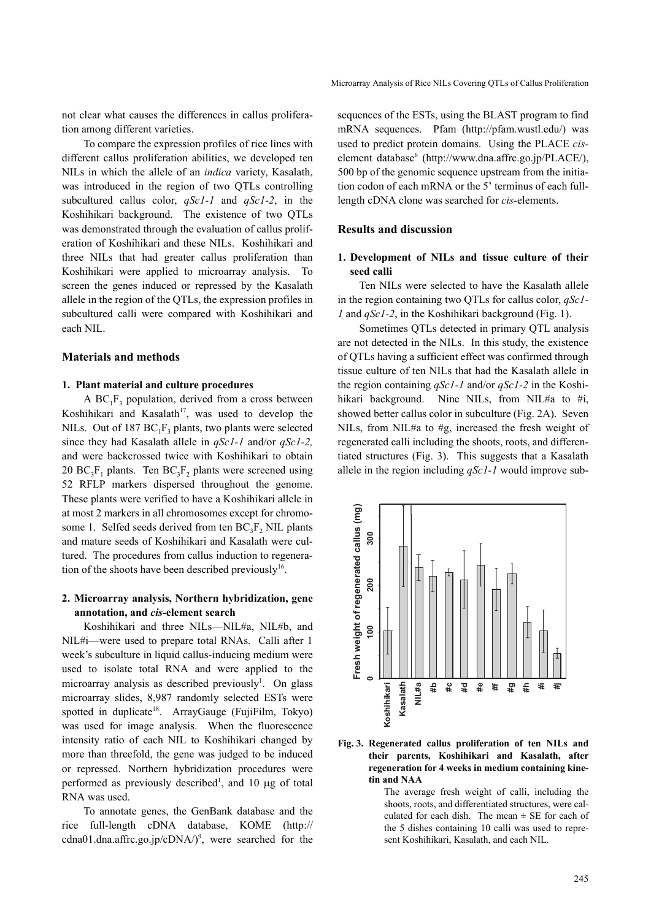not clear what causes the differences in callus proliferation among different varieties.

To compare the expression profiles of rice lines with different callus proliferation abilities, we developed ten NILs in which the allele of an *indica* variety, Kasalath, was introduced in the region of two QTLs controlling subcultured callus color, *qSc1-1* and *qSc1-2*, in the Koshihikari background. The existence of two QTLs was demonstrated through the evaluation of callus proliferation of Koshihikari and these NILs. Koshihikari and three NILs that had greater callus proliferation than Koshihikari were applied to microarray analysis. To screen the genes induced or repressed by the Kasalath allele in the region of the QTLs, the expression profiles in subcultured calli were compared with Koshihikari and each NIL.

## **Materials and methods**

#### **1. Plant material and culture procedures**

A  $BC_1F_3$  population, derived from a cross between Koshihikari and Kasalath<sup>17</sup>, was used to develop the NILs. Out of 187  $BC_1F_3$  plants, two plants were selected since they had Kasalath allele in *qSc1-1* and/or *qSc1-2,* and were backcrossed twice with Koshihikari to obtain 20 BC<sub>3</sub>F<sub>1</sub> plants. Ten BC<sub>3</sub>F<sub>2</sub> plants were screened using 52 RFLP markers dispersed throughout the genome. These plants were verified to have a Koshihikari allele in at most 2 markers in all chromosomes except for chromosome 1. Selfed seeds derived from ten  $BC_3F_2$  NIL plants and mature seeds of Koshihikari and Kasalath were cultured. The procedures from callus induction to regeneration of the shoots have been described previously<sup>16</sup>.

## **2. Microarray analysis, Northern hybridization, gene annotation, and** *cis-***element search**

Koshihikari and three NILs—NIL#a, NIL#b, and NIL#i—were used to prepare total RNAs. Calli after 1 week's subculture in liquid callus-inducing medium were used to isolate total RNA and were applied to the microarray analysis as described previously<sup>1</sup>. On glass microarray slides, 8,987 randomly selected ESTs were spotted in duplicate<sup>18</sup>. ArrayGauge (FujiFilm, Tokyo) was used for image analysis. When the fluorescence intensity ratio of each NIL to Koshihikari changed by more than threefold, the gene was judged to be induced or repressed. Northern hybridization procedures were performed as previously described<sup>1</sup>, and 10  $\mu$ g of total RNA was used.

To annotate genes, the GenBank database and the rice full-length cDNA database, KOME (http:// cdna01.dna.affrc.go.jp/cDNA/ $)$ <sup>9</sup>, were searched for the

sequences of the ESTs, using the BLAST program to find mRNA sequences. Pfam (http://pfam.wustl.edu/) was used to predict protein domains. Using the PLACE *cis*element database<sup>6</sup> (http://www.dna.affrc.go.jp/PLACE/), 500 bp of the genomic sequence upstream from the initiation codon of each mRNA or the 5' terminus of each fulllength cDNA clone was searched for *cis-*elements.

## **Results and discussion**

## **1. Development of NILs and tissue culture of their seed calli**

Ten NILs were selected to have the Kasalath allele in the region containing two QTLs for callus color, *qSc1- 1* and *qSc1-2*, in the Koshihikari background (Fig. 1).

Sometimes QTLs detected in primary QTL analysis are not detected in the NILs. In this study, the existence of QTLs having a sufficient effect was confirmed through tissue culture of ten NILs that had the Kasalath allele in the region containing *qSc1-1* and/or *qSc1-2* in the Koshihikari background. Nine NILs, from NIL#a to #i, showed better callus color in subculture (Fig. 2A). Seven NILs, from NIL#a to #g, increased the fresh weight of regenerated calli including the shoots, roots, and differentiated structures (Fig. 3). This suggests that a Kasalath allele in the region including *qSc1-1* would improve sub-



## **Fig. 3. Regenerated callus proliferation of ten NILs and their parents, Koshihikari and Kasalath, after regeneration for 4 weeks in medium containing kinetin and NAA**

The average fresh weight of calli, including the shoots, roots, and differentiated structures, were calculated for each dish. The mean  $\pm$  SE for each of the 5 dishes containing 10 calli was used to represent Koshihikari, Kasalath, and each NIL.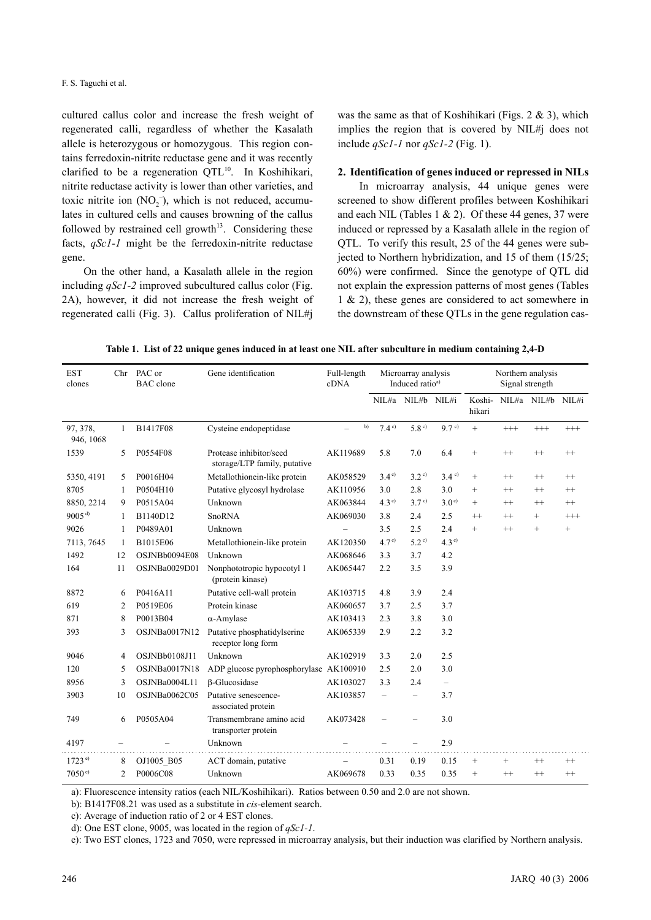cultured callus color and increase the fresh weight of regenerated calli, regardless of whether the Kasalath allele is heterozygous or homozygous. This region contains ferredoxin-nitrite reductase gene and it was recently clarified to be a regeneration QTL<sup>10</sup>. In Koshihikari, nitrite reductase activity is lower than other varieties, and toxic nitrite ion  $(NO<sub>2</sub><sup>-</sup>)$ , which is not reduced, accumulates in cultured cells and causes browning of the callus followed by restrained cell growth $13$ . Considering these facts, *qSc1-1* might be the ferredoxin-nitrite reductase gene.

On the other hand, a Kasalath allele in the region including *qSc1-2* improved subcultured callus color (Fig. 2A), however, it did not increase the fresh weight of regenerated calli (Fig. 3). Callus proliferation of NIL#j was the same as that of Koshihikari (Figs. 2 & 3), which implies the region that is covered by NIL#j does not include *qSc1-1* nor *qSc1-2* (Fig. 1).

## **2. Identification of genes induced or repressed in NILs**

In microarray analysis, 44 unique genes were screened to show different profiles between Koshihikari and each NIL (Tables 1  $& 2$ ). Of these 44 genes, 37 were induced or repressed by a Kasalath allele in the region of QTL. To verify this result, 25 of the 44 genes were subjected to Northern hybridization, and 15 of them (15/25; 60%) were confirmed. Since the genotype of QTL did not explain the expression patterns of most genes (Tables 1 & 2), these genes are considered to act somewhere in the downstream of these QTLs in the gene regulation cas-

**Table 1. List of 22 unique genes induced in at least one NIL after subculture in medium containing 2,4-D**

| <b>EST</b><br>clones  |    | Chr PAC or<br><b>BAC</b> clone | Gene identification                                     | Full-length<br>cDNA      | Microarray analysis<br>Induced ratio <sup>a)</sup> |                          |                  | Northern analysis<br>Signal strength |          |                   |          |
|-----------------------|----|--------------------------------|---------------------------------------------------------|--------------------------|----------------------------------------------------|--------------------------|------------------|--------------------------------------|----------|-------------------|----------|
|                       |    |                                |                                                         |                          |                                                    | NIL#a NIL#b NIL#i        |                  | Koshi-<br>hikari                     |          | NIL#a NIL#b NIL#i |          |
| 97, 378,<br>946, 1068 | 1  | B1417F08                       | Cysteine endopeptidase                                  | b)                       | 7.4 <sup>c</sup>                                   | 5.8 <sup>c</sup>         | 9.7 <sup>c</sup> | $\ddot{}$                            | $^{+++}$ | $^{+++}$          | $^{+++}$ |
| 1539                  | 5  | P0554F08                       | Protease inhibitor/seed<br>storage/LTP family, putative | AK119689                 | 5.8                                                | 7.0                      | 6.4              | $\! + \!\!\!\!$                      | $^{++}$  | $^{++}$           | $^{++}$  |
| 5350, 4191            | 5  | P0016H04                       | Metallothionein-like protein                            | AK058529                 | $3.4^\circ$                                        | 3.2 <sup>c</sup>         | $3.4^{\circ}$    | $^{+}$                               | $^{++}$  | $^{++}$           | $^{++}$  |
| 8705                  | 1  | P0504H10                       | Putative glycosyl hydrolase                             | AK110956                 | 3.0                                                | 2.8                      | 3.0              | $^{+}$                               | $^{++}$  | $^{++}$           | $^{++}$  |
| 8850, 2214            | 9  | P0515A04                       | Unknown                                                 | AK063844                 | $4.3^{\circ}$                                      | 3.7 <sup>c</sup>         | $3.0^\circ$      | $^{+}$                               | $^{++}$  | $^{++}$           | $^{++}$  |
| $9005^{d}$            | 1  | B1140D12                       | SnoRNA                                                  | AK069030                 | 3.8                                                | 2.4                      | 2.5              | $^{++}$                              | $^{++}$  | $^{+}$            | $^{+++}$ |
| 9026                  | 1  | P0489A01                       | Unknown                                                 | $\overline{\phantom{0}}$ | 3.5                                                | 2.5                      | 2.4              | $^{+}$                               | $^{++}$  | $^{+}$            | $^{+}$   |
| 7113, 7645            | 1  | B1015E06                       | Metallothionein-like protein                            | AK120350                 | 4.7 <sup>c</sup>                                   | 5.2 <sup>c</sup>         | 4.3 <sup>c</sup> |                                      |          |                   |          |
| 1492                  | 12 | OSJNBb0094E08                  | Unknown                                                 | AK068646                 | 3.3                                                | 3.7                      | 4.2              |                                      |          |                   |          |
| 164                   | 11 | OSJNBa0029D01                  | Nonphototropic hypocotyl 1<br>(protein kinase)          | AK065447                 | 2.2                                                | 3.5                      | 3.9              |                                      |          |                   |          |
| 8872                  | 6  | P0416A11                       | Putative cell-wall protein                              | AK103715                 | 4.8                                                | 3.9                      | 2.4              |                                      |          |                   |          |
| 619                   | 2  | P0519E06                       | Protein kinase                                          | AK060657                 | 3.7                                                | 2.5                      | 3.7              |                                      |          |                   |          |
| 871                   | 8  | P0013B04                       | $\alpha$ -Amylase                                       | AK103413                 | 2.3                                                | 3.8                      | 3.0              |                                      |          |                   |          |
| 393                   | 3  | OSJNBa0017N12                  | Putative phosphatidylserine<br>receptor long form       | AK065339                 | 2.9                                                | 2.2                      | 3.2              |                                      |          |                   |          |
| 9046                  | 4  | OSJNBb0108J11                  | Unknown                                                 | AK102919                 | 3.3                                                | 2.0                      | 2.5              |                                      |          |                   |          |
| 120                   | 5  | OSJNBa0017N18                  | ADP glucose pyrophosphorylase AK100910                  |                          | 2.5                                                | 2.0                      | 3.0              |                                      |          |                   |          |
| 8956                  | 3  | OSJNBa0004L11                  | β-Glucosidase                                           | AK103027                 | 3.3                                                | 2.4                      | $\equiv$         |                                      |          |                   |          |
| 3903                  | 10 | OSJNBa0062C05                  | Putative senescence-<br>associated protein              | AK103857                 | $\qquad \qquad -$                                  | $\overline{\phantom{0}}$ | 3.7              |                                      |          |                   |          |
| 749                   | 6  | P0505A04                       | Transmembrane amino acid<br>transporter protein         | AK073428                 | $\overline{\phantom{0}}$                           |                          | 3.0              |                                      |          |                   |          |
| 4197                  |    |                                | Unknown                                                 |                          |                                                    |                          | 2.9              |                                      |          |                   |          |
| 1723 e                | 8  | OJ1005 B05                     | ACT domain, putative                                    |                          | 0.31                                               | 0.19                     | 0.15             | $^{+}$                               | $^{+}$   | $^{++}$           | $^{++}$  |
| $7050^{\text{ e}}$    | 2  | P0006C08                       | Unknown                                                 | AK069678                 | 0.33                                               | 0.35                     | 0.35             | $^{+}$                               | $^{++}$  | $^{++}$           | $^{++}$  |

a): Fluorescence intensity ratios (each NIL/Koshihikari). Ratios between 0.50 and 2.0 are not shown.

b): B1417F08.21 was used as a substitute in *cis*-element search.

c): Average of induction ratio of 2 or 4 EST clones.

d): One EST clone, 9005, was located in the region of *qSc1-1*.

e): Two EST clones, 1723 and 7050, were repressed in microarray analysis, but their induction was clarified by Northern analysis.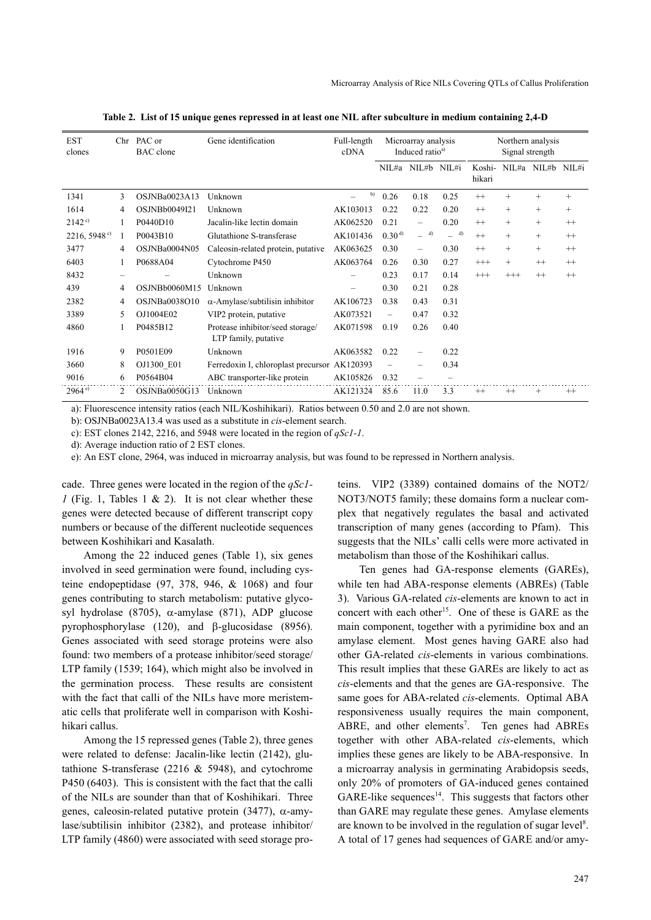| <b>EST</b><br>clones |   | Chr PAC or<br><b>BAC</b> clone | Gene identification                                      | Full-length<br>cDNA      | Microarray analysis<br>Induced ratio <sup>a)</sup> |                          | Northern analysis<br>Signal strength |                  |          |                   |         |
|----------------------|---|--------------------------------|----------------------------------------------------------|--------------------------|----------------------------------------------------|--------------------------|--------------------------------------|------------------|----------|-------------------|---------|
|                      |   |                                |                                                          |                          |                                                    | NIL#a NIL#b NIL#i        |                                      | Koshi-<br>hikari |          | NIL#a NIL#b NIL#i |         |
| 1341                 | 3 | OSJNBa0023A13                  | Unknown                                                  | b)                       | 0.26                                               | 0.18                     | 0.25                                 | $^{++}$          | $^{+}$   | $^{+}$            | $^{+}$  |
| 1614                 | 4 | OSJNBb0049I21                  | Unknown                                                  | AK103013                 | 0.22                                               | 0.22                     | 0.20                                 | $++$             | $^{+}$   | $^{+}$            | $^{+}$  |
| 2142°                |   | P0440D10                       | Jacalin-like lectin domain                               | AK062520                 | 0.21                                               | $\overline{\phantom{0}}$ | 0.20                                 | $^{++}$          | $^{+}$   | $^{+}$            | $^{++}$ |
| 2216,5948°           | 1 | P0043B10                       | Glutathione S-transferase                                | AK101436                 | $0.30^{d}$                                         | d)                       | d)                                   | $++$             | $^{+}$   | $^{+}$            | $^{++}$ |
| 3477                 | 4 | OSJNBa0004N05                  | Caleosin-related protein, putative                       | AK063625                 | 0.30                                               | $\overline{\phantom{0}}$ | 0.30                                 | $^{++}$          | $^{+}$   | $^{+}$            | $^{++}$ |
| 6403                 | 1 | P0688A04                       | Cytochrome P450                                          | AK063764                 | 0.26                                               | 0.30                     | 0.27                                 | $^{+++}$         | $^{+}$   | $++$              | $^{++}$ |
| 8432                 | - |                                | Unknown                                                  |                          | 0.23                                               | 0.17                     | 0.14                                 | $^{+++}$         | $^{+++}$ | $^{++}$           | $^{++}$ |
| 439                  | 4 | OSJNBb0060M15                  | Unknown                                                  | $\overline{\phantom{0}}$ | 0.30                                               | 0.21                     | 0.28                                 |                  |          |                   |         |
| 2382                 | 4 | OSJNBa0038O10                  | $\alpha$ -Amylase/subtilisin inhibitor                   | AK106723                 | 0.38                                               | 0.43                     | 0.31                                 |                  |          |                   |         |
| 3389                 | 5 | OJ1004E02                      | VIP2 protein, putative                                   | AK073521                 | $\qquad \qquad -$                                  | 0.47                     | 0.32                                 |                  |          |                   |         |
| 4860                 |   | P0485B12                       | Protease inhibitor/seed storage/<br>LTP family, putative | AK071598                 | 0.19                                               | 0.26                     | 0.40                                 |                  |          |                   |         |
| 1916                 | 9 | P0501E09                       | Unknown                                                  | AK063582                 | 0.22                                               |                          | 0.22                                 |                  |          |                   |         |
| 3660                 | 8 | OJ1300 E01                     | Ferredoxin I, chloroplast precursor AK120393             |                          | $\overline{\phantom{0}}$                           |                          | 0.34                                 |                  |          |                   |         |
| 9016                 | 6 | P0564B04                       | ABC transporter-like protein                             | AK105826                 | 0.32                                               |                          |                                      |                  |          |                   |         |
| 2964 e               | 2 | OSJNBa0050G13                  | Unknown                                                  | AK121324                 | 85.6                                               | 11.0                     | 3.3                                  | $^{++}$          | $^{++}$  | $^{+}$            | $^{++}$ |

**Table 2. List of 15 unique genes repressed in at least one NIL after subculture in medium containing 2,4-D**

a): Fluorescence intensity ratios (each NIL/Koshihikari). Ratios between 0.50 and 2.0 are not shown.

b): OSJNBa0023A13.4 was used as a substitute in *cis*-element search.

c): EST clones 2142, 2216, and 5948 were located in the region of *qSc1-1*.

d): Average induction ratio of 2 EST clones.

e): An EST clone, 2964, was induced in microarray analysis, but was found to be repressed in Northern analysis.

cade. Three genes were located in the region of the *qSc1- 1* (Fig. 1, Tables 1 & 2). It is not clear whether these genes were detected because of different transcript copy numbers or because of the different nucleotide sequences between Koshihikari and Kasalath.

Among the 22 induced genes (Table 1), six genes involved in seed germination were found, including cysteine endopeptidase (97, 378, 946, & 1068) and four genes contributing to starch metabolism: putative glycosyl hydrolase (8705), α-amylase (871), ADP glucose pyrophosphorylase (120), and β-glucosidase (8956). Genes associated with seed storage proteins were also found: two members of a protease inhibitor/seed storage/ LTP family (1539; 164), which might also be involved in the germination process. These results are consistent with the fact that calli of the NILs have more meristematic cells that proliferate well in comparison with Koshihikari callus.

Among the 15 repressed genes (Table 2), three genes were related to defense: Jacalin-like lectin (2142), glutathione S-transferase (2216  $&$  5948), and cytochrome P450 (6403). This is consistent with the fact that the calli of the NILs are sounder than that of Koshihikari. Three genes, caleosin-related putative protein (3477), α-amylase/subtilisin inhibitor (2382), and protease inhibitor/ LTP family (4860) were associated with seed storage proteins. VIP2 (3389) contained domains of the NOT2/ NOT3/NOT5 family; these domains form a nuclear complex that negatively regulates the basal and activated transcription of many genes (according to Pfam). This suggests that the NILs' calli cells were more activated in metabolism than those of the Koshihikari callus.

Ten genes had GA-response elements (GAREs), while ten had ABA-response elements (ABREs) (Table 3). Various GA-related *cis*-elements are known to act in concert with each other<sup>15</sup>. One of these is GARE as the main component, together with a pyrimidine box and an amylase element. Most genes having GARE also had other GA-related *cis*-elements in various combinations. This result implies that these GAREs are likely to act as *cis*-elements and that the genes are GA-responsive. The same goes for ABA-related *cis*-elements. Optimal ABA responsiveness usually requires the main component, ABRE, and other elements<sup>7</sup>. Ten genes had ABREs together with other ABA-related *cis*-elements, which implies these genes are likely to be ABA-responsive. In a microarray analysis in germinating Arabidopsis seeds, only 20% of promoters of GA-induced genes contained  $GARE-like sequences<sup>14</sup>$ . This suggests that factors other than GARE may regulate these genes. Amylase elements are known to be involved in the regulation of sugar level<sup>8</sup>. A total of 17 genes had sequences of GARE and/or amy-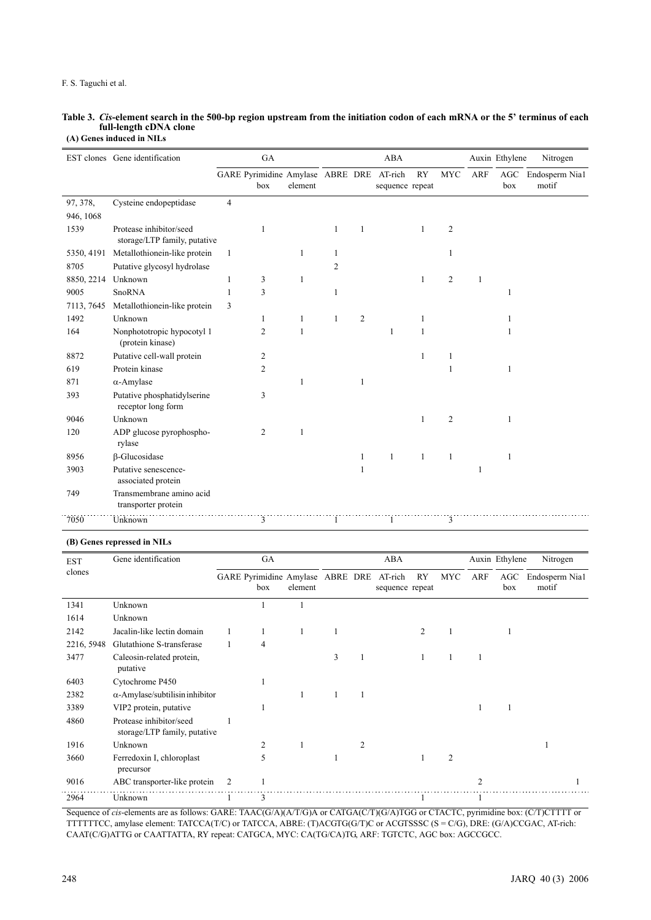#### F. S. Taguchi et al.

#### **Table 3.** *Cis***-element search in the 500-bp region upstream from the initiation codon of each mRNA or the 5' terminus of each full-length cDNA clone (A) Genes induced in NILs**

|            | EST clones Gene identification                          |                | GA                                              |         |   |                | ABA             |              | Auxin Ethylene<br>Nitrogen |              |     |                             |
|------------|---------------------------------------------------------|----------------|-------------------------------------------------|---------|---|----------------|-----------------|--------------|----------------------------|--------------|-----|-----------------------------|
|            |                                                         |                | GARE Pyrimidine Amylase ABRE DRE AT-rich<br>box | element |   |                | sequence repeat | RY           | <b>MYC</b>                 | <b>ARF</b>   | box | AGC Endosperm Nia1<br>motif |
| 97, 378,   | Cysteine endopeptidase                                  | $\overline{4}$ |                                                 |         |   |                |                 |              |                            |              |     |                             |
| 946, 1068  |                                                         |                |                                                 |         |   |                |                 |              |                            |              |     |                             |
| 1539       | Protease inhibitor/seed<br>storage/LTP family, putative |                | 1                                               |         | 1 | 1              |                 | 1            | $\overline{c}$             |              |     |                             |
| 5350, 4191 | Metallothionein-like protein                            | 1              |                                                 | 1       | 1 |                |                 |              | $\mathbf{1}$               |              |     |                             |
| 8705       | Putative glycosyl hydrolase                             |                |                                                 |         | 2 |                |                 |              |                            |              |     |                             |
| 8850, 2214 | Unknown                                                 | 1              | 3                                               | 1       |   |                |                 | $\mathbf{1}$ | $\overline{2}$             | $\mathbf{1}$ |     |                             |
| 9005       | <b>SnoRNA</b>                                           | 1              | 3                                               |         |   |                |                 |              |                            |              | 1   |                             |
| 7113, 7645 | Metallothionein-like protein                            | 3              |                                                 |         |   |                |                 |              |                            |              |     |                             |
| 1492       | Unknown                                                 |                | 1                                               | 1       |   | $\overline{c}$ |                 |              |                            |              |     |                             |
| 164        | Nonphototropic hypocotyl 1<br>(protein kinase)          |                | 2                                               | 1       |   |                | 1               |              |                            |              |     |                             |
| 8872       | Putative cell-wall protein                              |                | $\overline{c}$                                  |         |   |                |                 |              |                            |              |     |                             |
| 619        | Protein kinase                                          |                | 2                                               |         |   |                |                 |              |                            |              |     |                             |
| 871        | $\alpha$ -Amylase                                       |                |                                                 | 1       |   | $\mathbf{1}$   |                 |              |                            |              |     |                             |
| 393        | Putative phosphatidylserine<br>receptor long form       |                | 3                                               |         |   |                |                 |              |                            |              |     |                             |
| 9046       | Unknown                                                 |                |                                                 |         |   |                |                 | 1            | $\overline{2}$             |              |     |                             |
| 120        | ADP glucose pyrophospho-<br>rylase                      |                | $\overline{c}$                                  |         |   |                |                 |              |                            |              |     |                             |
| 8956       | $\beta$ -Glucosidase                                    |                |                                                 |         |   | 1              | $\mathbf{1}$    | $\mathbf{1}$ | $\mathbf{1}$               |              | 1   |                             |
| 3903       | Putative senescence-<br>associated protein              |                |                                                 |         |   | 1              |                 |              |                            | 1            |     |                             |
| 749        | Transmembrane amino acid<br>transporter protein         |                |                                                 |         |   |                |                 |              |                            |              |     |                             |
| 7050       | Unknown                                                 |                | 3                                               |         |   |                | 1               |              | 3                          |              |     |                             |

#### **(B) Genes repressed in NILs**

| <b>EST</b> | Gene identification                                     |   | GA                                      |         |   |   | ABA                        |                |                | Auxin Ethylene<br>Nitrogen |            |                         |
|------------|---------------------------------------------------------|---|-----------------------------------------|---------|---|---|----------------------------|----------------|----------------|----------------------------|------------|-------------------------|
| clones     |                                                         |   | GARE Pyrimidine Amylase ABRE DRE<br>box | element |   |   | AT-rich<br>sequence repeat | RY             | <b>MYC</b>     | ARF                        | AGC<br>box | Endosperm Nia1<br>motif |
| 1341       | Unknown                                                 |   |                                         |         |   |   |                            |                |                |                            |            |                         |
| 1614       | Unknown                                                 |   |                                         |         |   |   |                            |                |                |                            |            |                         |
| 2142       | Jacalin-like lectin domain                              |   | 1                                       | 1       |   |   |                            | $\overline{c}$ |                |                            | 1          |                         |
| 2216, 5948 | Glutathione S-transferase                               |   | $\overline{4}$                          |         |   |   |                            |                |                |                            |            |                         |
| 3477       | Caleosin-related protein,<br>putative                   |   |                                         |         | 3 |   |                            |                |                |                            |            |                         |
| 6403       | Cytochrome P450                                         |   |                                         |         |   |   |                            |                |                |                            |            |                         |
| 2382       | $\alpha$ -Amylase/subtilisin inhibitor                  |   |                                         |         |   | 1 |                            |                |                |                            |            |                         |
| 3389       | VIP2 protein, putative                                  |   |                                         |         |   |   |                            |                |                |                            |            |                         |
| 4860       | Protease inhibitor/seed<br>storage/LTP family, putative |   |                                         |         |   |   |                            |                |                |                            |            |                         |
| 1916       | Unknown                                                 |   | 2                                       |         |   | 2 |                            |                |                |                            |            |                         |
| 3660       | Ferredoxin I, chloroplast<br>precursor                  |   | 5                                       |         |   |   |                            |                | $\overline{2}$ |                            |            |                         |
| 9016       | ABC transporter-like protein                            | 2 |                                         |         |   |   |                            |                |                | $\mathfrak{D}$             |            |                         |
| 2964       | Unknown                                                 |   | 3                                       |         |   |   |                            |                |                |                            |            |                         |

Sequence of *cis*-elements are as follows: GARE: TAAC(G/A)(A/T/G)A or CATGA(C/T)(G/A)TGG or CTACTC, pyrimidine box: (C/T)CTTTT or TTTTTTCC, amylase element: TATCCA(T/C) or TATCCA, ABRE: (T)ACGTG(G/T)C or ACGTSSSC (S = C/G), DRE: (G/A)CCGAC, AT-rich: CAAT(C/G)ATTG or CAATTATTA, RY repeat: CATGCA, MYC: CA(TG/CA)TG, ARF: TGTCTC, AGC box: AGCCGCC.